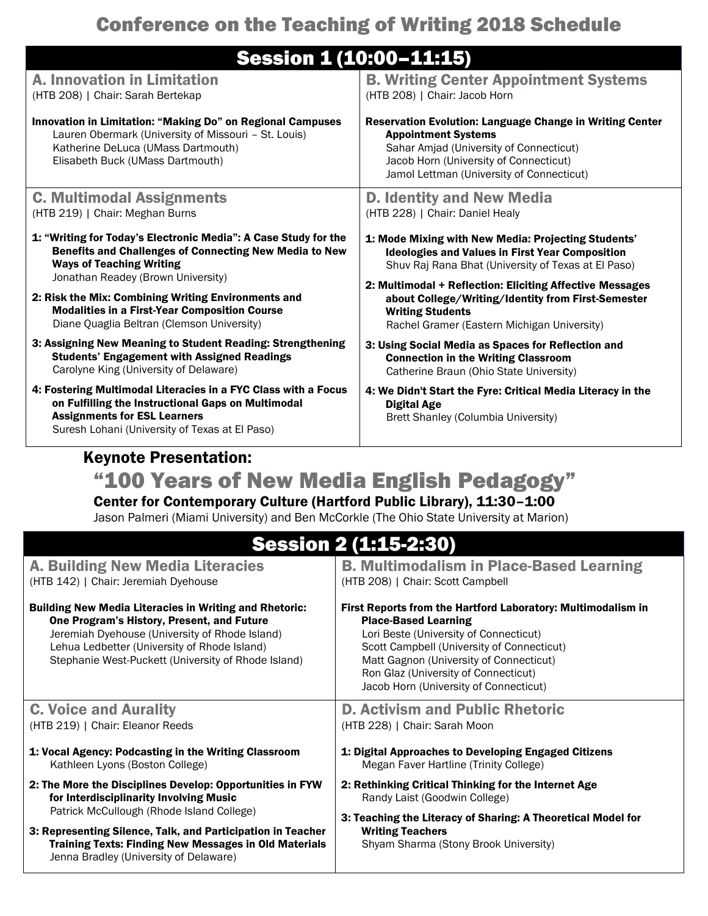## Conference on the Teaching of Writing 2018 Schedule

## Session 1 (10:00–11:15)

|                                                                                                                                                                                                                                                                      | OGSSIUII II (LUIUU-LLILE)                                                                                                                                                                                                                                                                                        |  |  |  |
|----------------------------------------------------------------------------------------------------------------------------------------------------------------------------------------------------------------------------------------------------------------------|------------------------------------------------------------------------------------------------------------------------------------------------------------------------------------------------------------------------------------------------------------------------------------------------------------------|--|--|--|
| <b>A. Innovation in Limitation</b><br>(HTB 208)   Chair: Sarah Bertekap                                                                                                                                                                                              | <b>B. Writing Center Appointment Systems</b><br>(HTB 208)   Chair: Jacob Horn                                                                                                                                                                                                                                    |  |  |  |
| Innovation in Limitation: "Making Do" on Regional Campuses<br>Lauren Obermark (University of Missouri - St. Louis)<br>Katherine DeLuca (UMass Dartmouth)<br>Elisabeth Buck (UMass Dartmouth)                                                                         | <b>Reservation Evolution: Language Change in Writing Center</b><br><b>Appointment Systems</b><br>Sahar Amjad (University of Connecticut)<br>Jacob Horn (University of Connecticut)<br>Jamol Lettman (University of Connecticut)                                                                                  |  |  |  |
| <b>C. Multimodal Assignments</b><br>(HTB 219)   Chair: Meghan Burns                                                                                                                                                                                                  | <b>D. Identity and New Media</b><br>(HTB 228)   Chair: Daniel Healy                                                                                                                                                                                                                                              |  |  |  |
| 1: "Writing for Today's Electronic Media": A Case Study for the<br>Benefits and Challenges of Connecting New Media to New<br><b>Ways of Teaching Writing</b><br>Jonathan Readey (Brown University)                                                                   | 1: Mode Mixing with New Media: Projecting Students'<br><b>Ideologies and Values in First Year Composition</b><br>Shuv Raj Rana Bhat (University of Texas at El Paso)                                                                                                                                             |  |  |  |
| 2: Risk the Mix: Combining Writing Environments and<br><b>Modalities in a First-Year Composition Course</b><br>Diane Quaglia Beltran (Clemson University)                                                                                                            | 2: Multimodal + Reflection: Eliciting Affective Messages<br>about College/Writing/Identity from First-Semester<br><b>Writing Students</b><br>Rachel Gramer (Eastern Michigan University)                                                                                                                         |  |  |  |
| 3: Assigning New Meaning to Student Reading: Strengthening<br><b>Students' Engagement with Assigned Readings</b><br>Carolyne King (University of Delaware)                                                                                                           | 3: Using Social Media as Spaces for Reflection and<br><b>Connection in the Writing Classroom</b><br>Catherine Braun (Ohio State University)                                                                                                                                                                      |  |  |  |
| 4: Fostering Multimodal Literacies in a FYC Class with a Focus<br>on Fulfilling the Instructional Gaps on Multimodal<br><b>Assignments for ESL Learners</b><br>Suresh Lohani (University of Texas at El Paso)                                                        | 4: We Didn't Start the Fyre: Critical Media Literacy in the<br><b>Digital Age</b><br>Brett Shanley (Columbia University)                                                                                                                                                                                         |  |  |  |
| <b>Keynote Presentation:</b>                                                                                                                                                                                                                                         |                                                                                                                                                                                                                                                                                                                  |  |  |  |
| "100 Years of New Media English Pedagogy"                                                                                                                                                                                                                            |                                                                                                                                                                                                                                                                                                                  |  |  |  |
| Center for Contemporary Culture (Hartford Public Library), 11:30-1:00<br>Jason Palmeri (Miami University) and Ben McCorkle (The Ohio State University at Marion)                                                                                                     |                                                                                                                                                                                                                                                                                                                  |  |  |  |
| <b>Session 2 (1:15-2:30)</b>                                                                                                                                                                                                                                         |                                                                                                                                                                                                                                                                                                                  |  |  |  |
| <b>A. Building New Media Literacies</b><br>(HTB 142)   Chair: Jeremiah Dyehouse                                                                                                                                                                                      | <b>B. Multimodalism in Place-Based Learning</b><br>(HTB 208)   Chair: Scott Campbell                                                                                                                                                                                                                             |  |  |  |
| <b>Building New Media Literacies in Writing and Rhetoric:</b><br>One Program's History, Present, and Future<br>Jeremiah Dyehouse (University of Rhode Island)<br>Lehua Ledbetter (University of Rhode Island)<br>Stephanie West-Puckett (University of Rhode Island) | First Reports from the Hartford Laboratory: Multimodalism in<br><b>Place-Based Learning</b><br>Lori Beste (University of Connecticut)<br>Scott Campbell (University of Connecticut)<br>Matt Gagnon (University of Connecticut)<br>Ron Glaz (University of Connecticut)<br>Jacob Horn (University of Connecticut) |  |  |  |
| $\bigcap M_{\mathcal{A}}$ is a small Associated                                                                                                                                                                                                                      | Astiviana and Dublis Dhataria                                                                                                                                                                                                                                                                                    |  |  |  |

| <b>C. Voice and Aurality</b>                                                                           | <b>D. Activism and Public Rhetoric</b>                                                         |
|--------------------------------------------------------------------------------------------------------|------------------------------------------------------------------------------------------------|
| (HTB 219)   Chair: Eleanor Reeds                                                                       | (HTB 228)   Chair: Sarah Moon                                                                  |
| 1: Vocal Agency: Podcasting in the Writing Classroom<br>Kathleen Lyons (Boston College)                | 1: Digital Approaches to Developing Engaged Citizens<br>Megan Faver Hartline (Trinity College) |
| 2: The More the Disciplines Develop: Opportunities in FYW<br>for Interdisciplinarity Involving Music   | 2: Rethinking Critical Thinking for the Internet Age<br>Randy Laist (Goodwin College)          |
| Patrick McCullough (Rhode Island College)                                                              | 3: Teaching the Literacy of Sharing: A Theoretical Model for                                   |
| 3: Representing Silence, Talk, and Participation in Teacher                                            | <b>Writing Teachers</b>                                                                        |
| <b>Training Texts: Finding New Messages in Old Materials</b><br>Jenna Bradley (University of Delaware) | Shyam Sharma (Stony Brook University)                                                          |
|                                                                                                        |                                                                                                |